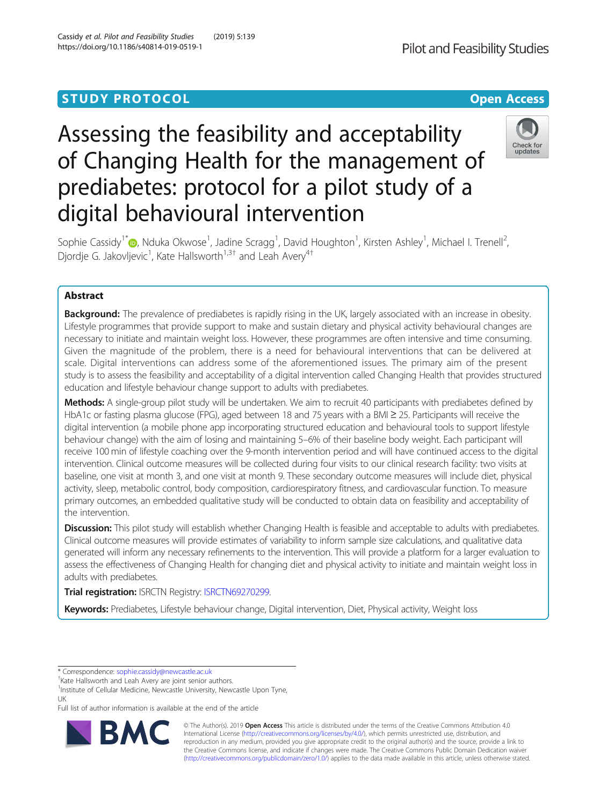## **STUDY PROTOCOL CONSUMING THE CONSUMING OPEN ACCESS**

# Assessing the feasibility and acceptability of Changing Health for the management of prediabetes: protocol for a pilot study of a digital behavioural intervention



Sophie Cassidy<sup>1\*</sup>®[,](http://orcid.org/0000-0002-0228-7274) Nduka Okwose<sup>1</sup>, Jadine Scragg<sup>1</sup>, David Houghton<sup>1</sup>, Kirsten Ashley<sup>1</sup>, Michael I. Trenell<sup>2</sup> , Djordje G. Jakovljevic<sup>1</sup>, Kate Hallsworth<sup>1,3†</sup> and Leah Avery<sup>4†</sup>

### Abstract

Background: The prevalence of prediabetes is rapidly rising in the UK, largely associated with an increase in obesity. Lifestyle programmes that provide support to make and sustain dietary and physical activity behavioural changes are necessary to initiate and maintain weight loss. However, these programmes are often intensive and time consuming. Given the magnitude of the problem, there is a need for behavioural interventions that can be delivered at scale. Digital interventions can address some of the aforementioned issues. The primary aim of the present study is to assess the feasibility and acceptability of a digital intervention called Changing Health that provides structured education and lifestyle behaviour change support to adults with prediabetes.

Methods: A single-group pilot study will be undertaken. We aim to recruit 40 participants with prediabetes defined by HbA1c or fasting plasma glucose (FPG), aged between 18 and 75 years with a BMI ≥ 25. Participants will receive the digital intervention (a mobile phone app incorporating structured education and behavioural tools to support lifestyle behaviour change) with the aim of losing and maintaining 5–6% of their baseline body weight. Each participant will receive 100 min of lifestyle coaching over the 9-month intervention period and will have continued access to the digital intervention. Clinical outcome measures will be collected during four visits to our clinical research facility: two visits at baseline, one visit at month 3, and one visit at month 9. These secondary outcome measures will include diet, physical activity, sleep, metabolic control, body composition, cardiorespiratory fitness, and cardiovascular function. To measure primary outcomes, an embedded qualitative study will be conducted to obtain data on feasibility and acceptability of the intervention.

Discussion: This pilot study will establish whether Changing Health is feasible and acceptable to adults with prediabetes. Clinical outcome measures will provide estimates of variability to inform sample size calculations, and qualitative data generated will inform any necessary refinements to the intervention. This will provide a platform for a larger evaluation to assess the effectiveness of Changing Health for changing diet and physical activity to initiate and maintain weight loss in adults with prediabetes.

Trial registration: ISRCTN Registry: [ISRCTN69270299](https://doi.org/10.1186/ISRCTN69270299).

Keywords: Prediabetes, Lifestyle behaviour change, Digital intervention, Diet, Physical activity, Weight loss

\* Correspondence: [sophie.cassidy@newcastle.ac.uk](mailto:sophie.cassidy@newcastle.ac.uk) †

<sup>1</sup>Institute of Cellular Medicine, Newcastle University, Newcastle Upon Tyne, UK

Full list of author information is available at the end of the article



© The Author(s). 2019 Open Access This article is distributed under the terms of the Creative Commons Attribution 4.0 International License [\(http://creativecommons.org/licenses/by/4.0/](http://creativecommons.org/licenses/by/4.0/)), which permits unrestricted use, distribution, and reproduction in any medium, provided you give appropriate credit to the original author(s) and the source, provide a link to the Creative Commons license, and indicate if changes were made. The Creative Commons Public Domain Dedication waiver [\(http://creativecommons.org/publicdomain/zero/1.0/](http://creativecommons.org/publicdomain/zero/1.0/)) applies to the data made available in this article, unless otherwise stated.

<sup>&</sup>lt;sup>+</sup>Kate Hallsworth and Leah Avery are joint senior authors.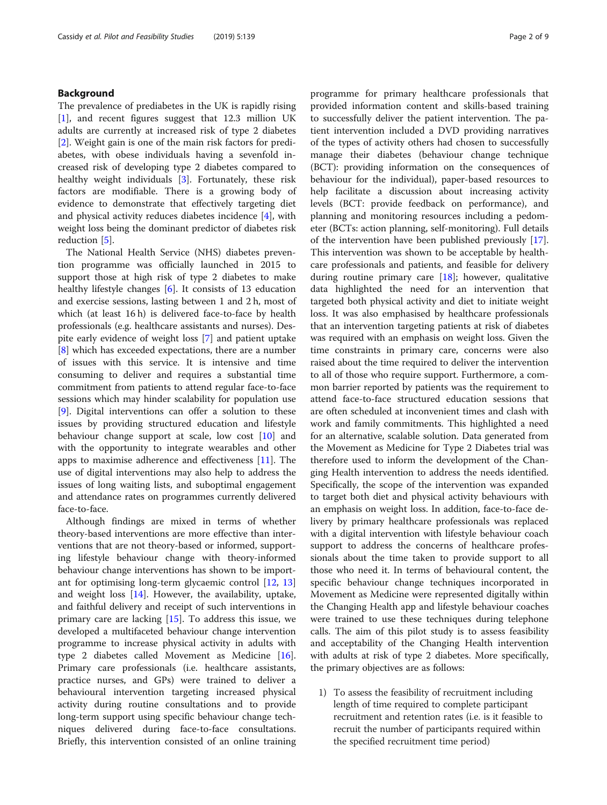#### Background

The prevalence of prediabetes in the UK is rapidly rising [[1\]](#page-7-0), and recent figures suggest that 12.3 million UK adults are currently at increased risk of type 2 diabetes [[2\]](#page-7-0). Weight gain is one of the main risk factors for prediabetes, with obese individuals having a sevenfold increased risk of developing type 2 diabetes compared to healthy weight individuals [[3\]](#page-7-0). Fortunately, these risk factors are modifiable. There is a growing body of evidence to demonstrate that effectively targeting diet and physical activity reduces diabetes incidence [\[4](#page-7-0)], with weight loss being the dominant predictor of diabetes risk reduction [\[5\]](#page-7-0).

The National Health Service (NHS) diabetes prevention programme was officially launched in 2015 to support those at high risk of type 2 diabetes to make healthy lifestyle changes [\[6](#page-7-0)]. It consists of 13 education and exercise sessions, lasting between 1 and 2 h, most of which (at least 16 h) is delivered face-to-face by health professionals (e.g. healthcare assistants and nurses). Despite early evidence of weight loss [\[7](#page-7-0)] and patient uptake [[8\]](#page-7-0) which has exceeded expectations, there are a number of issues with this service. It is intensive and time consuming to deliver and requires a substantial time commitment from patients to attend regular face-to-face sessions which may hinder scalability for population use [[9\]](#page-7-0). Digital interventions can offer a solution to these issues by providing structured education and lifestyle behaviour change support at scale, low cost [\[10](#page-7-0)] and with the opportunity to integrate wearables and other apps to maximise adherence and effectiveness [\[11](#page-7-0)]. The use of digital interventions may also help to address the issues of long waiting lists, and suboptimal engagement and attendance rates on programmes currently delivered face-to-face.

Although findings are mixed in terms of whether theory-based interventions are more effective than interventions that are not theory-based or informed, supporting lifestyle behaviour change with theory-informed behaviour change interventions has shown to be important for optimising long-term glycaemic control [[12](#page-7-0), [13](#page-7-0)] and weight loss [[14\]](#page-7-0). However, the availability, uptake, and faithful delivery and receipt of such interventions in primary care are lacking  $[15]$  $[15]$ . To address this issue, we developed a multifaceted behaviour change intervention programme to increase physical activity in adults with type 2 diabetes called Movement as Medicine [\[16](#page-7-0)]. Primary care professionals (i.e. healthcare assistants, practice nurses, and GPs) were trained to deliver a behavioural intervention targeting increased physical activity during routine consultations and to provide long-term support using specific behaviour change techniques delivered during face-to-face consultations. Briefly, this intervention consisted of an online training

programme for primary healthcare professionals that provided information content and skills-based training to successfully deliver the patient intervention. The patient intervention included a DVD providing narratives of the types of activity others had chosen to successfully manage their diabetes (behaviour change technique (BCT): providing information on the consequences of behaviour for the individual), paper-based resources to help facilitate a discussion about increasing activity levels (BCT: provide feedback on performance), and planning and monitoring resources including a pedometer (BCTs: action planning, self-monitoring). Full details of the intervention have been published previously [\[17](#page-7-0)]. This intervention was shown to be acceptable by healthcare professionals and patients, and feasible for delivery during routine primary care [\[18](#page-7-0)]; however, qualitative data highlighted the need for an intervention that targeted both physical activity and diet to initiate weight loss. It was also emphasised by healthcare professionals that an intervention targeting patients at risk of diabetes was required with an emphasis on weight loss. Given the time constraints in primary care, concerns were also raised about the time required to deliver the intervention to all of those who require support. Furthermore, a common barrier reported by patients was the requirement to attend face-to-face structured education sessions that are often scheduled at inconvenient times and clash with work and family commitments. This highlighted a need for an alternative, scalable solution. Data generated from the Movement as Medicine for Type 2 Diabetes trial was therefore used to inform the development of the Changing Health intervention to address the needs identified. Specifically, the scope of the intervention was expanded to target both diet and physical activity behaviours with an emphasis on weight loss. In addition, face-to-face delivery by primary healthcare professionals was replaced with a digital intervention with lifestyle behaviour coach support to address the concerns of healthcare professionals about the time taken to provide support to all those who need it. In terms of behavioural content, the specific behaviour change techniques incorporated in Movement as Medicine were represented digitally within the Changing Health app and lifestyle behaviour coaches were trained to use these techniques during telephone calls. The aim of this pilot study is to assess feasibility and acceptability of the Changing Health intervention with adults at risk of type 2 diabetes. More specifically, the primary objectives are as follows:

1) To assess the feasibility of recruitment including length of time required to complete participant recruitment and retention rates (i.e. is it feasible to recruit the number of participants required within the specified recruitment time period)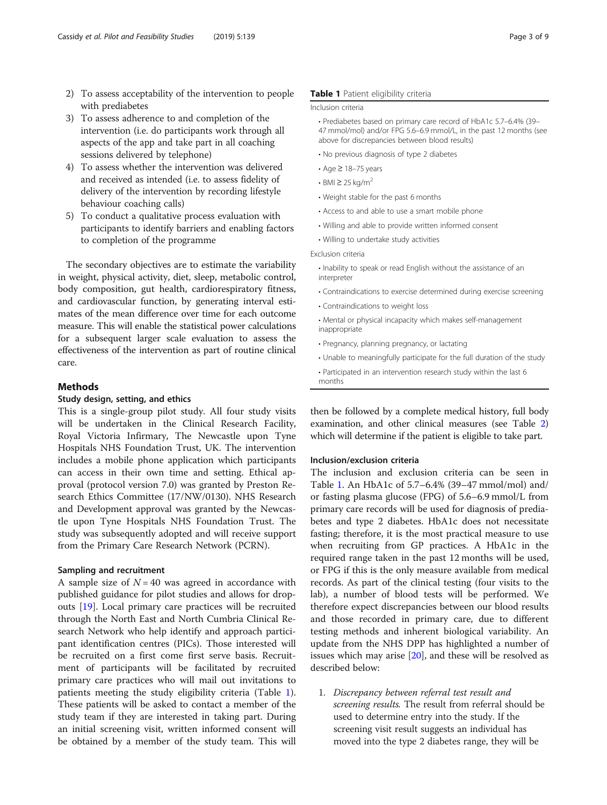- 2) To assess acceptability of the intervention to people with prediabetes
- 3) To assess adherence to and completion of the intervention (i.e. do participants work through all aspects of the app and take part in all coaching sessions delivered by telephone)
- 4) To assess whether the intervention was delivered and received as intended (i.e. to assess fidelity of delivery of the intervention by recording lifestyle behaviour coaching calls)
- 5) To conduct a qualitative process evaluation with participants to identify barriers and enabling factors to completion of the programme

The secondary objectives are to estimate the variability in weight, physical activity, diet, sleep, metabolic control, body composition, gut health, cardiorespiratory fitness, and cardiovascular function, by generating interval estimates of the mean difference over time for each outcome measure. This will enable the statistical power calculations for a subsequent larger scale evaluation to assess the effectiveness of the intervention as part of routine clinical care.

#### Methods

#### Study design, setting, and ethics

This is a single-group pilot study. All four study visits will be undertaken in the Clinical Research Facility, Royal Victoria Infirmary, The Newcastle upon Tyne Hospitals NHS Foundation Trust, UK. The intervention includes a mobile phone application which participants can access in their own time and setting. Ethical approval (protocol version 7.0) was granted by Preston Research Ethics Committee (17/NW/0130). NHS Research and Development approval was granted by the Newcastle upon Tyne Hospitals NHS Foundation Trust. The study was subsequently adopted and will receive support from the Primary Care Research Network (PCRN).

#### Sampling and recruitment

A sample size of  $N = 40$  was agreed in accordance with published guidance for pilot studies and allows for dropouts [\[19\]](#page-7-0). Local primary care practices will be recruited through the North East and North Cumbria Clinical Research Network who help identify and approach participant identification centres (PICs). Those interested will be recruited on a first come first serve basis. Recruitment of participants will be facilitated by recruited primary care practices who will mail out invitations to patients meeting the study eligibility criteria (Table 1). These patients will be asked to contact a member of the study team if they are interested in taking part. During an initial screening visit, written informed consent will be obtained by a member of the study team. This will

#### Table 1 Patient eligibility criteria

#### Inclusion criteria

- Prediabetes based on primary care record of HbA1c 5.7–6.4% (39– 47 mmol/mol) and/or FPG 5.6–6.9 mmol/L, in the past 12 months (see above for discrepancies between blood results)
- No previous diagnosis of type 2 diabetes
- Age ≥ 18–75 years
- $\cdot$  BMI  $\geq$  25 kg/m<sup>2</sup>
- Weight stable for the past 6 months
- Access to and able to use a smart mobile phone
- Willing and able to provide written informed consent
- Willing to undertake study activities

Exclusion criteria

- Inability to speak or read English without the assistance of an interpreter
- Contraindications to exercise determined during exercise screening
- Contraindications to weight loss
- Mental or physical incapacity which makes self-management inappropriate
- Pregnancy, planning pregnancy, or lactating
- Unable to meaningfully participate for the full duration of the study
- Participated in an intervention research study within the last 6 months

then be followed by a complete medical history, full body examination, and other clinical measures (see Table [2](#page-3-0)) which will determine if the patient is eligible to take part.

#### Inclusion/exclusion criteria

The inclusion and exclusion criteria can be seen in Table 1. An HbA1c of 5.7–6.4% (39–47 mmol/mol) and/ or fasting plasma glucose (FPG) of 5.6–6.9 mmol/L from primary care records will be used for diagnosis of prediabetes and type 2 diabetes. HbA1c does not necessitate fasting; therefore, it is the most practical measure to use when recruiting from GP practices. A HbA1c in the required range taken in the past 12 months will be used, or FPG if this is the only measure available from medical records. As part of the clinical testing (four visits to the lab), a number of blood tests will be performed. We therefore expect discrepancies between our blood results and those recorded in primary care, due to different testing methods and inherent biological variability. An update from the NHS DPP has highlighted a number of issues which may arise [[20](#page-8-0)], and these will be resolved as described below:

1. Discrepancy between referral test result and screening results. The result from referral should be used to determine entry into the study. If the screening visit result suggests an individual has moved into the type 2 diabetes range, they will be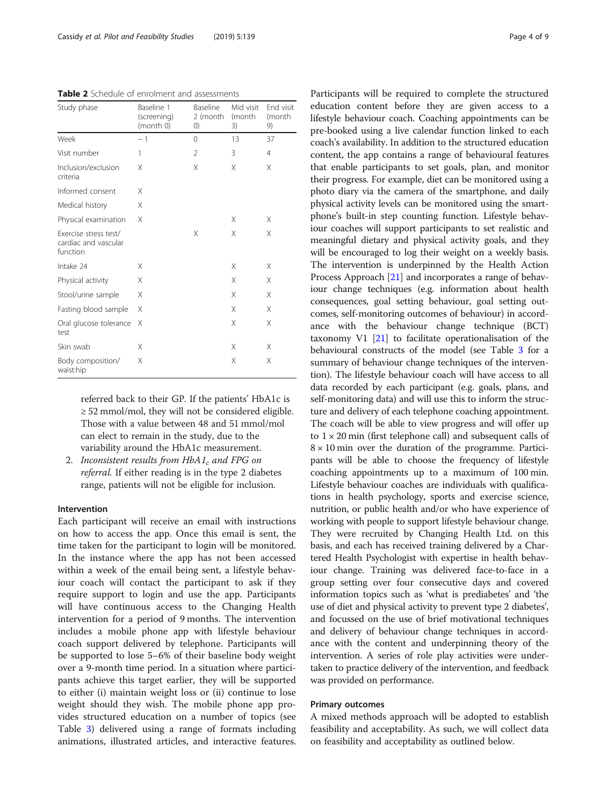<span id="page-3-0"></span>Table 2 Schedule of enrolment and assessments

| Study phase                                               | Baseline 1<br>(screening)<br>(month 0) | Baseline<br>2 (month<br>$\left( 0\right)$ | Mid visit<br>(month<br>3) | End visit<br>(month<br>9) |
|-----------------------------------------------------------|----------------------------------------|-------------------------------------------|---------------------------|---------------------------|
| Week                                                      | $-1$                                   | 0                                         | 13                        | 37                        |
| Visit number                                              | 1                                      | 2                                         | 3                         | $\overline{4}$            |
| Inclusion/exclusion<br>criteria                           | X                                      | X                                         | X                         | X                         |
| Informed consent                                          | X                                      |                                           |                           |                           |
| Medical history                                           | X                                      |                                           |                           |                           |
| Physical examination                                      | Χ                                      |                                           | Χ                         | Χ                         |
| Exercise stress test/<br>cardiac and vascular<br>function |                                        | X                                         | X                         | Χ                         |
| Intake 24                                                 | X                                      |                                           | X                         | Χ                         |
| Physical activity                                         | X                                      |                                           | X                         | Χ                         |
| Stool/urine sample                                        | Χ                                      |                                           | X                         | X                         |
| Fasting blood sample                                      | Χ                                      |                                           | X                         | X                         |
| Oral glucose tolerance<br>test                            | Χ                                      |                                           | X                         | X                         |
| Skin swab                                                 | X                                      |                                           | X                         | X                         |
| Body composition/<br>waist:hip                            | Χ                                      |                                           | X                         | X                         |

referred back to their GP. If the patients' HbA1c is ≥ 52 mmol/mol, they will not be considered eligible. Those with a value between 48 and 51 mmol/mol can elect to remain in the study, due to the variability around the HbA1c measurement.

2. Inconsistent results from  $HbA1_c$  and FPG on referral. If either reading is in the type 2 diabetes range, patients will not be eligible for inclusion.

#### Intervention

Each participant will receive an email with instructions on how to access the app. Once this email is sent, the time taken for the participant to login will be monitored. In the instance where the app has not been accessed within a week of the email being sent, a lifestyle behaviour coach will contact the participant to ask if they require support to login and use the app. Participants will have continuous access to the Changing Health intervention for a period of 9 months. The intervention includes a mobile phone app with lifestyle behaviour coach support delivered by telephone. Participants will be supported to lose 5–6% of their baseline body weight over a 9-month time period. In a situation where participants achieve this target earlier, they will be supported to either (i) maintain weight loss or (ii) continue to lose weight should they wish. The mobile phone app provides structured education on a number of topics (see Table [3\)](#page-4-0) delivered using a range of formats including animations, illustrated articles, and interactive features. Participants will be required to complete the structured education content before they are given access to a lifestyle behaviour coach. Coaching appointments can be pre-booked using a live calendar function linked to each coach's availability. In addition to the structured education content, the app contains a range of behavioural features that enable participants to set goals, plan, and monitor their progress. For example, diet can be monitored using a photo diary via the camera of the smartphone, and daily physical activity levels can be monitored using the smartphone's built-in step counting function. Lifestyle behaviour coaches will support participants to set realistic and meaningful dietary and physical activity goals, and they will be encouraged to log their weight on a weekly basis. The intervention is underpinned by the Health Action Process Approach [\[21\]](#page-8-0) and incorporates a range of behaviour change techniques (e.g. information about health consequences, goal setting behaviour, goal setting outcomes, self-monitoring outcomes of behaviour) in accordance with the behaviour change technique (BCT) taxonomy V1 [[21](#page-8-0)] to facilitate operationalisation of the behavioural constructs of the model (see Table [3](#page-4-0) for a summary of behaviour change techniques of the intervention). The lifestyle behaviour coach will have access to all data recorded by each participant (e.g. goals, plans, and self-monitoring data) and will use this to inform the structure and delivery of each telephone coaching appointment. The coach will be able to view progress and will offer up to  $1 \times 20$  min (first telephone call) and subsequent calls of  $8 \times 10$  min over the duration of the programme. Participants will be able to choose the frequency of lifestyle coaching appointments up to a maximum of 100 min. Lifestyle behaviour coaches are individuals with qualifications in health psychology, sports and exercise science, nutrition, or public health and/or who have experience of working with people to support lifestyle behaviour change. They were recruited by Changing Health Ltd. on this basis, and each has received training delivered by a Chartered Health Psychologist with expertise in health behaviour change. Training was delivered face-to-face in a group setting over four consecutive days and covered information topics such as 'what is prediabetes' and 'the use of diet and physical activity to prevent type 2 diabetes', and focussed on the use of brief motivational techniques and delivery of behaviour change techniques in accordance with the content and underpinning theory of the intervention. A series of role play activities were undertaken to practice delivery of the intervention, and feedback was provided on performance.

#### Primary outcomes

A mixed methods approach will be adopted to establish feasibility and acceptability. As such, we will collect data on feasibility and acceptability as outlined below.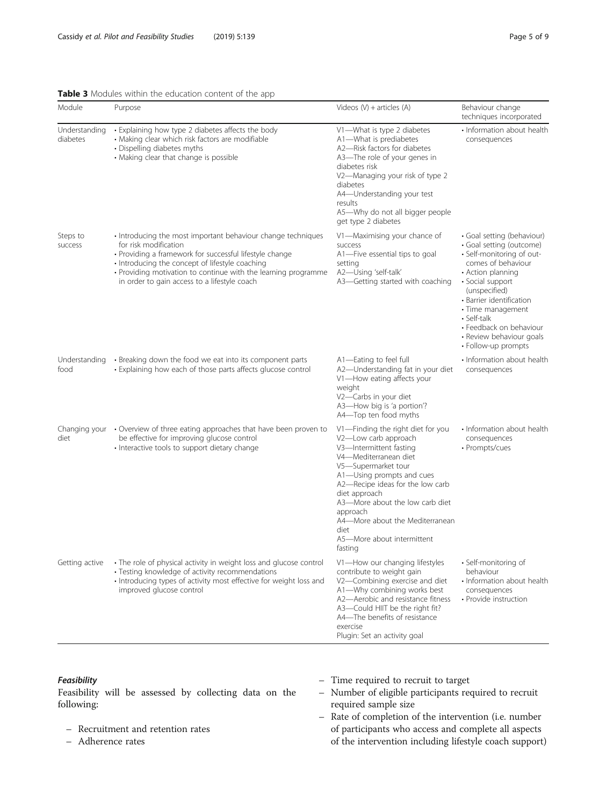#### <span id="page-4-0"></span>Table 3 Modules within the education content of the app

| Module                    | Purpose                                                                                                                                                                                                                                                                                                               | Videos $(V)$ + articles $(A)$                                                                                                                                                                                                                                                                                                                             | Behaviour change<br>techniques incorporated                                                                                                                                                                                                                                                                       |
|---------------------------|-----------------------------------------------------------------------------------------------------------------------------------------------------------------------------------------------------------------------------------------------------------------------------------------------------------------------|-----------------------------------------------------------------------------------------------------------------------------------------------------------------------------------------------------------------------------------------------------------------------------------------------------------------------------------------------------------|-------------------------------------------------------------------------------------------------------------------------------------------------------------------------------------------------------------------------------------------------------------------------------------------------------------------|
| Understanding<br>diabetes | • Explaining how type 2 diabetes affects the body<br>· Making clear which risk factors are modifiable<br>• Dispelling diabetes myths<br>• Making clear that change is possible                                                                                                                                        | V1-What is type 2 diabetes<br>A1-What is prediabetes<br>A2-Risk factors for diabetes<br>A3-The role of your genes in<br>diabetes risk<br>V2-Managing your risk of type 2<br>diabetes<br>A4—Understanding your test<br>results<br>A5-Why do not all bigger people<br>get type 2 diabetes                                                                   | • Information about health<br>consequences                                                                                                                                                                                                                                                                        |
| Steps to<br>success       | • Introducing the most important behaviour change techniques<br>for risk modification<br>• Providing a framework for successful lifestyle change<br>• Introducing the concept of lifestyle coaching<br>• Providing motivation to continue with the learning programme<br>in order to gain access to a lifestyle coach | V1-Maximising your chance of<br>success<br>A1-Five essential tips to goal<br>setting<br>A2-Using 'self-talk'<br>A3-Getting started with coaching                                                                                                                                                                                                          | · Goal setting (behaviour)<br>· Goal setting (outcome)<br>· Self-monitoring of out-<br>comes of behaviour<br>• Action planning<br>· Social support<br>(unspecified)<br>· Barrier identification<br>• Time management<br>• Self-talk<br>• Feedback on behaviour<br>• Review behaviour goals<br>• Follow-up prompts |
| Understanding<br>food     | • Breaking down the food we eat into its component parts<br>• Explaining how each of those parts affects glucose control                                                                                                                                                                                              | A1-Eating to feel full<br>A2-Understanding fat in your diet<br>V1-How eating affects your<br>weight<br>V2-Carbs in your diet<br>A3-How big is 'a portion'?<br>A4-Top ten food myths                                                                                                                                                                       | • Information about health<br>consequences                                                                                                                                                                                                                                                                        |
| Changing your<br>diet     | • Overview of three eating approaches that have been proven to<br>be effective for improving glucose control<br>· Interactive tools to support dietary change                                                                                                                                                         | V1—Finding the right diet for you<br>V2-Low carb approach<br>V3-Intermittent fasting<br>V4-Mediterranean diet<br>V5-Supermarket tour<br>A1-Using prompts and cues<br>A2-Recipe ideas for the low carb<br>diet approach<br>A3-More about the low carb diet<br>approach<br>A4-More about the Mediterranean<br>diet<br>A5-More about intermittent<br>fasting | • Information about health<br>consequences<br>• Prompts/cues                                                                                                                                                                                                                                                      |
| Getting active            | • The role of physical activity in weight loss and glucose control<br>· Testing knowledge of activity recommendations<br>• Introducing types of activity most effective for weight loss and<br>improved glucose control                                                                                               | V1-How our changing lifestyles<br>contribute to weight gain<br>V2-Combining exercise and diet<br>A1-Why combining works best<br>A2-Aerobic and resistance fitness<br>A3-Could HIIT be the right fit?<br>A4-The benefits of resistance<br>exercise<br>Plugin: Set an activity goal                                                                         | · Self-monitoring of<br>behaviour<br>· Information about health<br>consequences<br>• Provide instruction                                                                                                                                                                                                          |

#### Feasibility

Feasibility will be assessed by collecting data on the following:

- Recruitment and retention rates
- Adherence rates
- Time required to recruit to target
- Number of eligible participants required to recruit required sample size
- Rate of completion of the intervention (i.e. number of participants who access and complete all aspects of the intervention including lifestyle coach support)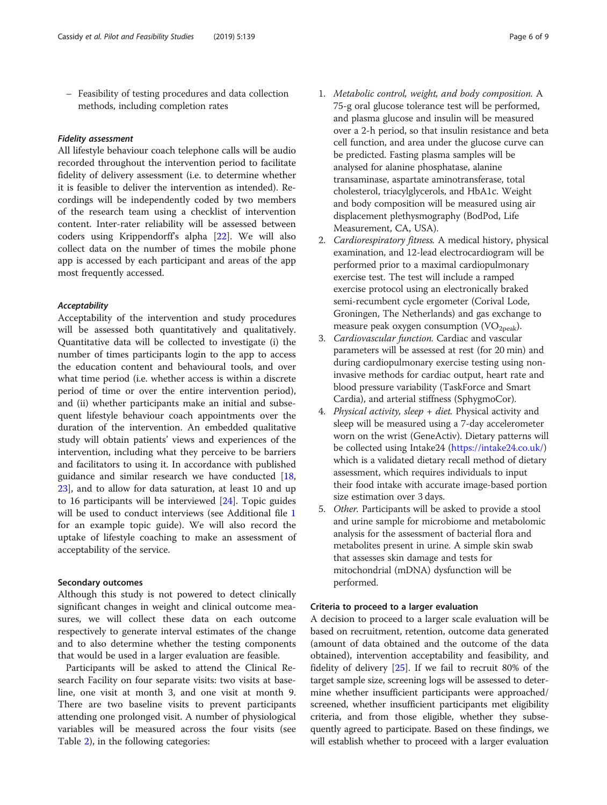– Feasibility of testing procedures and data collection methods, including completion rates

#### Fidelity assessment

All lifestyle behaviour coach telephone calls will be audio recorded throughout the intervention period to facilitate fidelity of delivery assessment (i.e. to determine whether it is feasible to deliver the intervention as intended). Recordings will be independently coded by two members of the research team using a checklist of intervention content. Inter-rater reliability will be assessed between coders using Krippendorff's alpha [[22\]](#page-8-0). We will also collect data on the number of times the mobile phone app is accessed by each participant and areas of the app most frequently accessed.

#### Acceptability

Acceptability of the intervention and study procedures will be assessed both quantitatively and qualitatively. Quantitative data will be collected to investigate (i) the number of times participants login to the app to access the education content and behavioural tools, and over what time period (i.e. whether access is within a discrete period of time or over the entire intervention period), and (ii) whether participants make an initial and subsequent lifestyle behaviour coach appointments over the duration of the intervention. An embedded qualitative study will obtain patients' views and experiences of the intervention, including what they perceive to be barriers and facilitators to using it. In accordance with published guidance and similar research we have conducted [[18](#page-7-0), [23\]](#page-8-0), and to allow for data saturation, at least 10 and up to 16 participants will be interviewed [\[24](#page-8-0)]. Topic guides will be used to conduct interviews (see Additional file [1](#page-7-0) for an example topic guide). We will also record the uptake of lifestyle coaching to make an assessment of acceptability of the service.

#### Secondary outcomes

Although this study is not powered to detect clinically significant changes in weight and clinical outcome measures, we will collect these data on each outcome respectively to generate interval estimates of the change and to also determine whether the testing components that would be used in a larger evaluation are feasible.

Participants will be asked to attend the Clinical Research Facility on four separate visits: two visits at baseline, one visit at month 3, and one visit at month 9. There are two baseline visits to prevent participants attending one prolonged visit. A number of physiological variables will be measured across the four visits (see Table [2\)](#page-3-0), in the following categories:

- 1. Metabolic control, weight, and body composition. A 75-g oral glucose tolerance test will be performed, and plasma glucose and insulin will be measured over a 2-h period, so that insulin resistance and beta cell function, and area under the glucose curve can be predicted. Fasting plasma samples will be analysed for alanine phosphatase, alanine transaminase, aspartate aminotransferase, total cholesterol, triacylglycerols, and HbA1c. Weight and body composition will be measured using air displacement plethysmography (BodPod, Life Measurement, CA, USA).
- 2. Cardiorespiratory fitness. A medical history, physical examination, and 12-lead electrocardiogram will be performed prior to a maximal cardiopulmonary exercise test. The test will include a ramped exercise protocol using an electronically braked semi-recumbent cycle ergometer (Corival Lode, Groningen, The Netherlands) and gas exchange to measure peak oxygen consumption (VO<sub>2peak</sub>).
- 3. Cardiovascular function. Cardiac and vascular parameters will be assessed at rest (for 20 min) and during cardiopulmonary exercise testing using noninvasive methods for cardiac output, heart rate and blood pressure variability (TaskForce and Smart Cardia), and arterial stiffness (SphygmoCor).
- 4. Physical activity, sleep + diet. Physical activity and sleep will be measured using a 7-day accelerometer worn on the wrist (GeneActiv). Dietary patterns will be collected using Intake24 (<https://intake24.co.uk/>) which is a validated dietary recall method of dietary assessment, which requires individuals to input their food intake with accurate image-based portion size estimation over 3 days.
- 5. Other. Participants will be asked to provide a stool and urine sample for microbiome and metabolomic analysis for the assessment of bacterial flora and metabolites present in urine. A simple skin swab that assesses skin damage and tests for mitochondrial (mDNA) dysfunction will be performed.

#### Criteria to proceed to a larger evaluation

A decision to proceed to a larger scale evaluation will be based on recruitment, retention, outcome data generated (amount of data obtained and the outcome of the data obtained), intervention acceptability and feasibility, and fidelity of delivery [[25](#page-8-0)]. If we fail to recruit 80% of the target sample size, screening logs will be assessed to determine whether insufficient participants were approached/ screened, whether insufficient participants met eligibility criteria, and from those eligible, whether they subsequently agreed to participate. Based on these findings, we will establish whether to proceed with a larger evaluation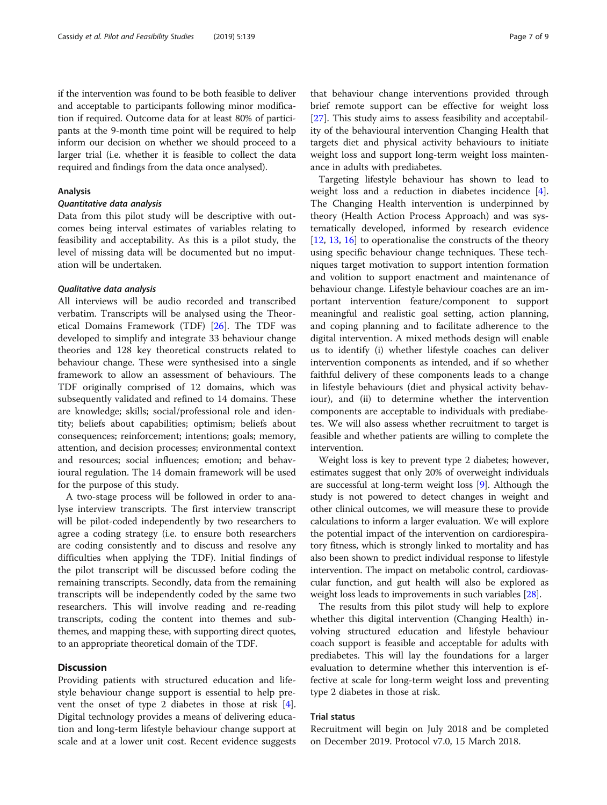if the intervention was found to be both feasible to deliver and acceptable to participants following minor modification if required. Outcome data for at least 80% of participants at the 9-month time point will be required to help inform our decision on whether we should proceed to a larger trial (i.e. whether it is feasible to collect the data required and findings from the data once analysed).

#### Analysis

#### Quantitative data analysis

Data from this pilot study will be descriptive with outcomes being interval estimates of variables relating to feasibility and acceptability. As this is a pilot study, the level of missing data will be documented but no imputation will be undertaken.

#### Qualitative data analysis

All interviews will be audio recorded and transcribed verbatim. Transcripts will be analysed using the Theoretical Domains Framework (TDF) [[26\]](#page-8-0). The TDF was developed to simplify and integrate 33 behaviour change theories and 128 key theoretical constructs related to behaviour change. These were synthesised into a single framework to allow an assessment of behaviours. The TDF originally comprised of 12 domains, which was subsequently validated and refined to 14 domains. These are knowledge; skills; social/professional role and identity; beliefs about capabilities; optimism; beliefs about consequences; reinforcement; intentions; goals; memory, attention, and decision processes; environmental context and resources; social influences; emotion; and behavioural regulation. The 14 domain framework will be used for the purpose of this study.

A two-stage process will be followed in order to analyse interview transcripts. The first interview transcript will be pilot-coded independently by two researchers to agree a coding strategy (i.e. to ensure both researchers are coding consistently and to discuss and resolve any difficulties when applying the TDF). Initial findings of the pilot transcript will be discussed before coding the remaining transcripts. Secondly, data from the remaining transcripts will be independently coded by the same two researchers. This will involve reading and re-reading transcripts, coding the content into themes and subthemes, and mapping these, with supporting direct quotes, to an appropriate theoretical domain of the TDF.

#### **Discussion**

Providing patients with structured education and lifestyle behaviour change support is essential to help prevent the onset of type 2 diabetes in those at risk [\[4](#page-7-0)]. Digital technology provides a means of delivering education and long-term lifestyle behaviour change support at scale and at a lower unit cost. Recent evidence suggests

that behaviour change interventions provided through brief remote support can be effective for weight loss [[27\]](#page-8-0). This study aims to assess feasibility and acceptability of the behavioural intervention Changing Health that targets diet and physical activity behaviours to initiate weight loss and support long-term weight loss maintenance in adults with prediabetes.

Targeting lifestyle behaviour has shown to lead to weight loss and a reduction in diabetes incidence [\[4](#page-7-0)]. The Changing Health intervention is underpinned by theory (Health Action Process Approach) and was systematically developed, informed by research evidence [[12,](#page-7-0) [13,](#page-7-0) [16\]](#page-7-0) to operationalise the constructs of the theory using specific behaviour change techniques. These techniques target motivation to support intention formation and volition to support enactment and maintenance of behaviour change. Lifestyle behaviour coaches are an important intervention feature/component to support meaningful and realistic goal setting, action planning, and coping planning and to facilitate adherence to the digital intervention. A mixed methods design will enable us to identify (i) whether lifestyle coaches can deliver intervention components as intended, and if so whether faithful delivery of these components leads to a change in lifestyle behaviours (diet and physical activity behaviour), and (ii) to determine whether the intervention components are acceptable to individuals with prediabetes. We will also assess whether recruitment to target is feasible and whether patients are willing to complete the intervention.

Weight loss is key to prevent type 2 diabetes; however, estimates suggest that only 20% of overweight individuals are successful at long-term weight loss [[9\]](#page-7-0). Although the study is not powered to detect changes in weight and other clinical outcomes, we will measure these to provide calculations to inform a larger evaluation. We will explore the potential impact of the intervention on cardiorespiratory fitness, which is strongly linked to mortality and has also been shown to predict individual response to lifestyle intervention. The impact on metabolic control, cardiovascular function, and gut health will also be explored as weight loss leads to improvements in such variables [[28](#page-8-0)].

The results from this pilot study will help to explore whether this digital intervention (Changing Health) involving structured education and lifestyle behaviour coach support is feasible and acceptable for adults with prediabetes. This will lay the foundations for a larger evaluation to determine whether this intervention is effective at scale for long-term weight loss and preventing type 2 diabetes in those at risk.

#### Trial status

Recruitment will begin on July 2018 and be completed on December 2019. Protocol v7.0, 15 March 2018.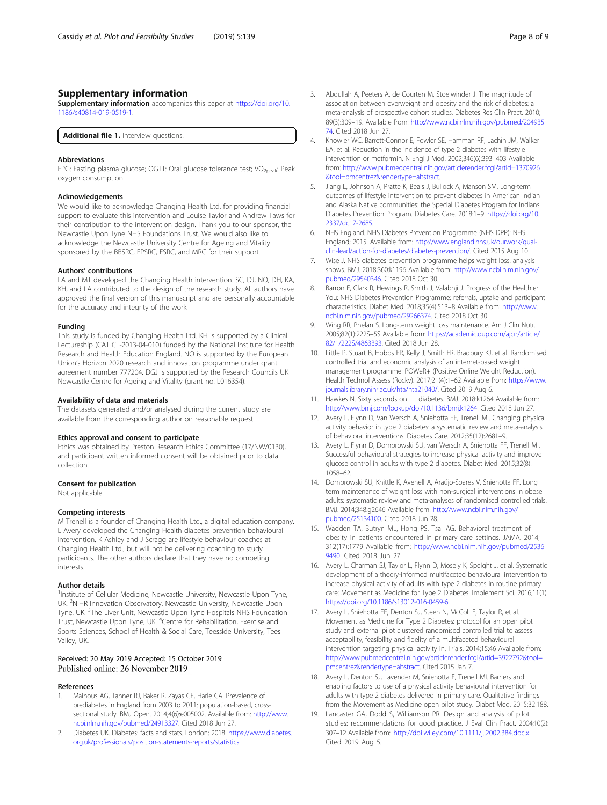#### <span id="page-7-0"></span>Supplementary information

Supplementary information accompanies this paper at [https://doi.org/10.](https://doi.org/10.1186/s40814-019-0519-1) [1186/s40814-019-0519-1.](https://doi.org/10.1186/s40814-019-0519-1)

Additional file 1. Interview questions.

#### Abbreviations

FPG: Fasting plasma glucose; OGTT: Oral glucose tolerance test; VO<sub>2peak</sub>: Peak oxygen consumption

#### Acknowledgements

We would like to acknowledge Changing Health Ltd. for providing financial support to evaluate this intervention and Louise Taylor and Andrew Taws for their contribution to the intervention design. Thank you to our sponsor, the Newcastle Upon Tyne NHS Foundations Trust. We would also like to acknowledge the Newcastle University Centre for Ageing and Vitality sponsored by the BBSRC, EPSRC, ESRC, and MRC for their support.

#### Authors' contributions

LA and MT developed the Changing Health intervention. SC, DJ, NO, DH, KA, KH, and LA contributed to the design of the research study. All authors have approved the final version of this manuscript and are personally accountable for the accuracy and integrity of the work.

#### Funding

This study is funded by Changing Health Ltd. KH is supported by a Clinical Lectureship (CAT CL-2013-04-010) funded by the National Institute for Health Research and Health Education England. NO is supported by the European Union's Horizon 2020 research and innovation programme under grant agreement number 777204. DGJ is supported by the Research Councils UK Newcastle Centre for Ageing and Vitality (grant no. L016354).

#### Availability of data and materials

The datasets generated and/or analysed during the current study are available from the corresponding author on reasonable request.

#### Ethics approval and consent to participate

Ethics was obtained by Preston Research Ethics Committee (17/NW/0130), and participant written informed consent will be obtained prior to data collection.

#### Consent for publication

Not applicable.

#### Competing interests

M Trenell is a founder of Changing Health Ltd., a digital education company. L Avery developed the Changing Health diabetes prevention behavioural intervention. K Ashley and J Scragg are lifestyle behaviour coaches at Changing Health Ltd., but will not be delivering coaching to study participants. The other authors declare that they have no competing interests.

#### Author details

<sup>1</sup>Institute of Cellular Medicine, Newcastle University, Newcastle Upon Tyne, UK. <sup>2</sup>NIHR Innovation Observatory, Newcastle University, Newcastle Upon Tyne, UK. <sup>3</sup>The Liver Unit, Newcastle Upon Tyne Hospitals NHS Foundation Trust, Newcastle Upon Tyne, UK. <sup>4</sup> Centre for Rehabilitation, Exercise and Sports Sciences, School of Health & Social Care, Teesside University, Tees Valley, UK.

#### Received: 20 May 2019 Accepted: 15 October 2019 Published online: 26 November 2019

#### References

- Mainous AG, Tanner RJ, Baker R, Zayas CE, Harle CA. Prevalence of prediabetes in England from 2003 to 2011: population-based, crosssectional study. BMJ Open. 2014;4(6):e005002. Available from: [http://www.](http://www.ncbi.nlm.nih.gov/pubmed/24913327) [ncbi.nlm.nih.gov/pubmed/24913327](http://www.ncbi.nlm.nih.gov/pubmed/24913327). Cited 2018 Jun 27.
- Diabetes UK. Diabetes: facts and stats. London; 2018. [https://www.diabetes.](https://www.diabetes.org.uk/professionals/position-statements-reports/statistics) [org.uk/professionals/position-statements-reports/statistics.](https://www.diabetes.org.uk/professionals/position-statements-reports/statistics)
- 3. Abdullah A, Peeters A, de Courten M, Stoelwinder J. The magnitude of association between overweight and obesity and the risk of diabetes: a meta-analysis of prospective cohort studies. Diabetes Res Clin Pract. 2010; 89(3):309–19. Available from: [http://www.ncbi.nlm.nih.gov/pubmed/204935](http://www.ncbi.nlm.nih.gov/pubmed/20493574) [74.](http://www.ncbi.nlm.nih.gov/pubmed/20493574) Cited 2018 Jun 27.
- 4. Knowler WC, Barrett-Connor E, Fowler SE, Hamman RF, Lachin JM, Walker EA, et al. Reduction in the incidence of type 2 diabetes with lifestyle intervention or metformin. N Engl J Med. 2002;346(6):393–403 Available from: [http://www.pubmedcentral.nih.gov/articlerender.fcgi?artid=1370926](http://www.pubmedcentral.nih.gov/articlerender.fcgi?artid=1370926&tool=pmcentrez&rendertype=abstract) [&tool=pmcentrez&rendertype=abstract](http://www.pubmedcentral.nih.gov/articlerender.fcgi?artid=1370926&tool=pmcentrez&rendertype=abstract).
- 5. Jiang L, Johnson A, Pratte K, Beals J, Bullock A, Manson SM. Long-term outcomes of lifestyle intervention to prevent diabetes in American Indian and Alaska Native communities: the Special Diabetes Program for Indians Diabetes Prevention Program. Diabetes Care. 2018:1–9. [https://doi.org/10.](https://doi.org/10.2337/dc17-2685) [2337/dc17-2685](https://doi.org/10.2337/dc17-2685).
- 6. NHS England. NHS Diabetes Prevention Programme (NHS DPP): NHS England; 2015. Available from: [http://www.england.nhs.uk/ourwork/qual](http://www.england.nhs.uk/ourwork/qual-clin-lead/action-for-diabetes/diabetes-prevention/)[clin-lead/action-for-diabetes/diabetes-prevention/](http://www.england.nhs.uk/ourwork/qual-clin-lead/action-for-diabetes/diabetes-prevention/). Cited 2015 Aug 10
- 7. Wise J. NHS diabetes prevention programme helps weight loss, analysis shows. BMJ. 2018;360:k1196 Available from: [http://www.ncbi.nlm.nih.gov/](http://www.ncbi.nlm.nih.gov/pubmed/29540346) [pubmed/29540346.](http://www.ncbi.nlm.nih.gov/pubmed/29540346) Cited 2018 Oct 30.
- 8. Barron E, Clark R, Hewings R, Smith J, Valabhji J. Progress of the Healthier You: NHS Diabetes Prevention Programme: referrals, uptake and participant characteristics. Diabet Med. 2018;35(4):513–8 Available from: [http://www.](http://www.ncbi.nlm.nih.gov/pubmed/29266374) [ncbi.nlm.nih.gov/pubmed/29266374](http://www.ncbi.nlm.nih.gov/pubmed/29266374). Cited 2018 Oct 30.
- 9. Wing RR, Phelan S. Long-term weight loss maintenance. Am J Clin Nutr. 2005;82(1):222S–5S Available from: [https://academic.oup.com/ajcn/article/](https://academic.oup.com/ajcn/article/82/1/222S/4863393) [82/1/222S/4863393.](https://academic.oup.com/ajcn/article/82/1/222S/4863393) Cited 2018 Jun 28.
- 10. Little P, Stuart B, Hobbs FR, Kelly J, Smith ER, Bradbury KJ, et al. Randomised controlled trial and economic analysis of an internet-based weight management programme: POWeR+ (Positive Online Weight Reduction). Health Technol Assess (Rockv). 2017;21(4):1–62 Available from: [https://www.](https://www.journalslibrary.nihr.ac.uk/hta/hta21040/) [journalslibrary.nihr.ac.uk/hta/hta21040/](https://www.journalslibrary.nihr.ac.uk/hta/hta21040/). Cited 2019 Aug 6.
- 11. Hawkes N. Sixty seconds on … diabetes. BMJ. 2018:k1264 Available from: <http://www.bmj.com/lookup/doi/10.1136/bmj.k1264>. Cited 2018 Jun 27.
- 12. Avery L, Flynn D, Van Wersch A, Sniehotta FF, Trenell MI. Changing physical activity behavior in type 2 diabetes: a systematic review and meta-analysis of behavioral interventions. Diabetes Care. 2012;35(12):2681–9.
- 13. Avery L, Flynn D, Dombrowski SU, van Wersch A, Sniehotta FF, Trenell MI. Successful behavioural strategies to increase physical activity and improve glucose control in adults with type 2 diabetes. Diabet Med. 2015;32(8): 1058–62.
- 14. Dombrowski SU, Knittle K, Avenell A, Araújo-Soares V, Sniehotta FF. Long term maintenance of weight loss with non-surgical interventions in obese adults: systematic review and meta-analyses of randomised controlled trials. BMJ. 2014;348:g2646 Available from: [http://www.ncbi.nlm.nih.gov/](http://www.ncbi.nlm.nih.gov/pubmed/25134100) [pubmed/25134100.](http://www.ncbi.nlm.nih.gov/pubmed/25134100) Cited 2018 Jun 28.
- 15. Wadden TA, Butryn ML, Hong PS, Tsai AG. Behavioral treatment of obesity in patients encountered in primary care settings. JAMA. 2014; 312(17):1779 Available from: [http://www.ncbi.nlm.nih.gov/pubmed/2536](http://www.ncbi.nlm.nih.gov/pubmed/25369490) [9490.](http://www.ncbi.nlm.nih.gov/pubmed/25369490) Cited 2018 Jun 27.
- 16. Avery L, Charman SJ, Taylor L, Flynn D, Mosely K, Speight J, et al. Systematic development of a theory-informed multifaceted behavioural intervention to increase physical activity of adults with type 2 diabetes in routine primary care: Movement as Medicine for Type 2 Diabetes. Implement Sci. 2016;11(1). <https://doi.org/10.1186/s13012-016-0459-6>.
- 17. Avery L, Sniehotta FF, Denton SJ, Steen N, McColl E, Taylor R, et al. Movement as Medicine for Type 2 Diabetes: protocol for an open pilot study and external pilot clustered randomised controlled trial to assess acceptability, feasibility and fidelity of a multifaceted behavioural intervention targeting physical activity in. Trials. 2014;15:46 Available from: [http://www.pubmedcentral.nih.gov/articlerender.fcgi?artid=3922792&tool=](http://www.pubmedcentral.nih.gov/articlerender.fcgi?artid=3922792&tool=pmcentrez&rendertype=abstract) [pmcentrez&rendertype=abstract.](http://www.pubmedcentral.nih.gov/articlerender.fcgi?artid=3922792&tool=pmcentrez&rendertype=abstract) Cited 2015 Jan 7.
- 18. Avery L, Denton SJ, Lavender M, Sniehotta F, Trenell MI. Barriers and enabling factors to use of a physical activity behavioural intervention for adults with type 2 diabetes delivered in primary care. Qualitative findings from the Movement as Medicine open pilot study. Diabet Med. 2015;32:188.
- 19. Lancaster GA, Dodd S, Williamson PR. Design and analysis of pilot studies: recommendations for good practice. J Eval Clin Pract. 2004;10(2): 307–12 Available from: <http://doi.wiley.com/10.1111/j..2002.384.doc.x>. Cited 2019 Aug 5.